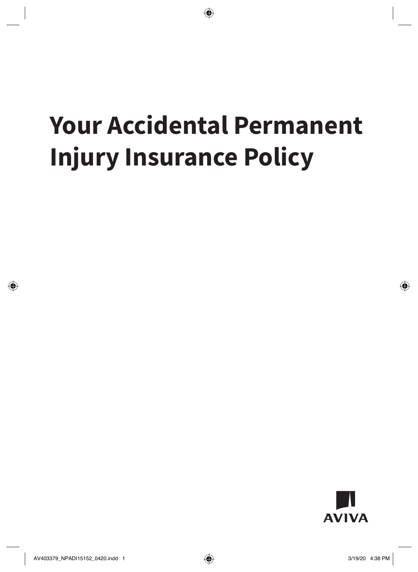# **Your Accidental Permanent Injury Insurance Policy**

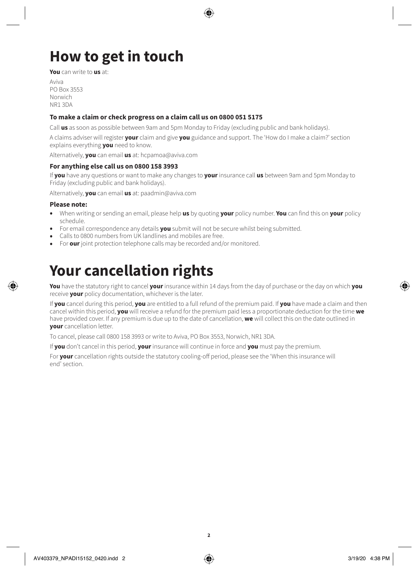# **How to get in touch**

**You** can write to **us** at:

Aviva PO Box 3553 Norwich NR1 3DA

### **To make a claim or check progress on a claim call us on 0800 051 5175**

Call **us** as soon as possible between 9am and 5pm Monday to Friday (excluding public and bank holidays).

A claims adviser will register **your** claim and give **you** guidance and support. The 'How do I make a claim?' section explains everything **you** need to know.

Alternatively, **you** can email **us** at: [hcpamoa@aviva.com](mailto:hcpamoa@aviva.com)

### **For anything else call us on 0800 158 3993**

If **you** have any questions or want to make any changes to **your** insurance call **us** between 9am and 5pm Monday to Friday (excluding public and bank holidays).

Alternatively, **you** can email **us** at: [paadmin@aviva.com](mailto:paadmin@aviva.com)

### **Please note:**

- When writing or sending an email, please help **us** by quoting **your** policy number. **You** can find this on **your** policy schedule.
- For email correspondence any details **you** submit will not be secure whilst being submitted.
- Calls to 0800 numbers from UK landlines and mobiles are free.
- For **our** joint protection telephone calls may be recorded and/or monitored.

## **Your cancellation rights**

**You** have the statutory right to cancel **your** insurance within 14 days from the day of purchase or the day on which **you**  receive **your** policy documentation, whichever is the later.

If **you** cancel during this period, **you** are entitled to a full refund of the premium paid. If **you** have made a claim and then cancel within this period, **you** will receive a refund for the premium paid less a proportionate deduction for the time **we**  have provided cover. If any premium is due up to the date of cancellation, **we** will collect this on the date outlined in **your** cancellation letter.

To cancel, please call 0800 158 3993 or write to Aviva, PO Box 3553, Norwich, NR1 3DA.

If **you** don't cancel in this period, **your** insurance will continue in force and **you** must pay the premium.

For **your** cancellation rights outside the statutory cooling-off period, please see the 'When this insurance will end' section.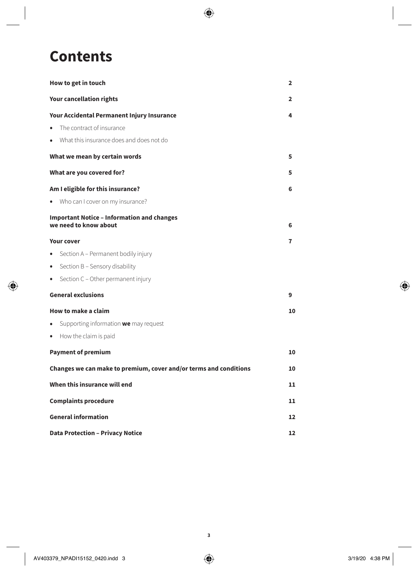### **Contents**

| How to get in touch                                                        | 2            |
|----------------------------------------------------------------------------|--------------|
| <b>Your cancellation rights</b>                                            | $\mathbf{2}$ |
| Your Accidental Permanent Injury Insurance                                 | 4            |
| The contract of insurance<br>$\bullet$                                     |              |
| What this insurance does and does not do<br>$\bullet$                      |              |
| What we mean by certain words                                              | 5            |
| What are you covered for?                                                  | 5            |
| Am I eligible for this insurance?                                          | 6            |
| Who can I cover on my insurance?<br>$\bullet$                              |              |
| <b>Important Notice - Information and changes</b><br>we need to know about | 6            |
| <b>Your cover</b>                                                          | 7            |
| Section A - Permanent bodily injury<br>$\bullet$                           |              |
| Section B - Sensory disability<br>$\bullet$                                |              |
| Section C - Other permanent injury<br>$\bullet$                            |              |
| <b>General exclusions</b>                                                  | 9            |
| How to make a claim                                                        | 10           |
| Supporting information we may request<br>$\bullet$                         |              |
| How the claim is paid<br>$\bullet$                                         |              |
| <b>Payment of premium</b>                                                  | 10           |
| Changes we can make to premium, cover and/or terms and conditions          | 10           |
| When this insurance will end                                               | 11           |
| <b>Complaints procedure</b>                                                | 11           |
| <b>General information</b>                                                 | 12           |
| <b>Data Protection - Privacy Notice</b>                                    | 12           |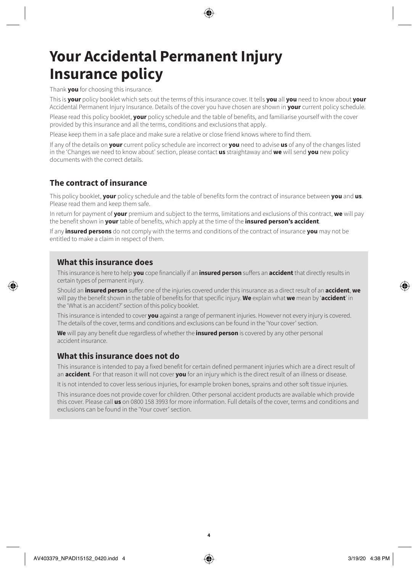### **Your Accidental Permanent Injury Insurance policy**

Thank **you** for choosing this insurance.

This is **your** policy booklet which sets out the terms of this insurance cover. It tells **you** all **you** need to know about **your**  Accidental Permanent Injury Insurance. Details of the cover you have chosen are shown in **your** current policy schedule.

Please read this policy booklet, **your** policy schedule and the table of benefits, and familiarise yourself with the cover provided by this insurance and all the terms, conditions and exclusions that apply.

Please keep them in a safe place and make sure a relative or close friend knows where to find them.

If any of the details on **your** current policy schedule are incorrect or **you** need to advise **us** of any of the changes listed in the 'Changes we need to know about' section, please contact **us** straightaway and **we** will send **you** new policy documents with the correct details.

### **The contract of insurance**

This policy booklet, **your** policy schedule and the table of benefits form the contract of insurance between **you** and **us**. Please read them and keep them safe.

In return for payment of **your** premium and subject to the terms, limitations and exclusions of this contract, **we** will pay the benefit shown in **your** table of benefits, which apply at the time of the **insured person's accident**.

If any **insured persons** do not comply with the terms and conditions of the contract of insurance **you** may not be entitled to make a claim in respect of them.

### **What this insurance does**

This insurance is here to help **you** cope financially if an **insured person** suffers an **accident** that directly results in certain types of permanent injury.

Should an **insured person** suffer one of the injuries covered under this insurance as a direct result of an **accident**, **we**  will pay the benefit shown in the table of benefits for that specific injury. **We** explain what **we** mean by '**accident**' in the 'What is an accident?' section of this policy booklet.

This insurance is intended to cover **you** against a range of permanent injuries. However not every injury is covered. The details of the cover, terms and conditions and exclusions can be found in the 'Your cover' section.

**We** will pay any benefit due regardless of whether the **insured person** is covered by any other personal accident insurance.

### **What this insurance does not do**

This insurance is intended to pay a fixed benefit for certain defined permanent injuries which are a direct result of an **accident**. For that reason it will not cover **you** for an injury which is the direct result of an illness or disease.

It is not intended to cover less serious injuries, for example broken bones, sprains and other soft tissue injuries.

This insurance does not provide cover for children. Other personal accident products are available which provide this cover. Please call **us** on 0800 158 3993 for more information. Full details of the cover, terms and conditions and exclusions can be found in the 'Your cover' section.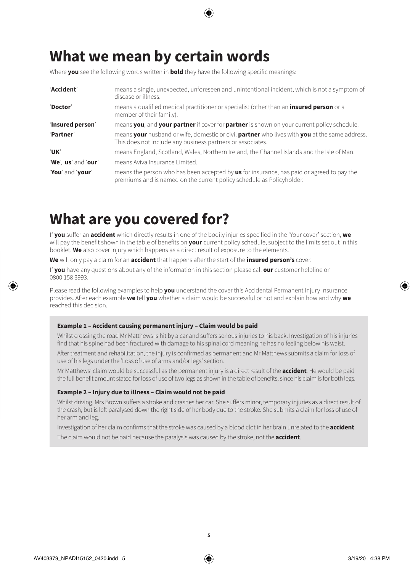### **What we mean by certain words**

Where **you** see the following words written in **bold** they have the following specific meanings:

| 'Accident'           | means a single, unexpected, unforeseen and unintentional incident, which is not a symptom of<br>disease or illness.                                                       |
|----------------------|---------------------------------------------------------------------------------------------------------------------------------------------------------------------------|
| 'Doctor'             | means a qualified medical practitioner or specialist (other than an <b>insured person</b> or a<br>member of their family).                                                |
| 'Insured person'     | means you, and your partner if cover for partner is shown on your current policy schedule.                                                                                |
| 'Partner'            | means your husband or wife, domestic or civil partner who lives with you at the same address.<br>This does not include any business partners or associates.               |
| <b>UK</b>            | means England, Scotland, Wales, Northern Ireland, the Channel Islands and the Isle of Man.                                                                                |
| 'We', 'us' and 'our' | means Aviva Insurance Limited.                                                                                                                                            |
| 'You' and 'your'     | means the person who has been accepted by <b>us</b> for insurance, has paid or agreed to pay the<br>premiums and is named on the current policy schedule as Policyholder. |

### **What are you covered for?**

If **you** suffer an **accident** which directly results in one of the bodily injuries specified in the 'Your cover' section, **we**  will pay the benefit shown in the table of benefits on **your** current policy schedule, subject to the limits set out in this booklet. **We** also cover injury which happens as a direct result of exposure to the elements.

**We** will only pay a claim for an **accident** that happens after the start of the **insured person's** cover.

If **you** have any questions about any of the information in this section please call **our** customer helpline on 0800 158 3993.

Please read the following examples to help **you** understand the cover this Accidental Permanent Injury Insurance provides. After each example **we** tell **you** whether a claim would be successful or not and explain how and why **we**  reached this decision.

### **Example 1 – Accident causing permanent injury – Claim would be paid**

Whilst crossing the road Mr Matthews is hit by a car and suffers serious injuries to his back. Investigation of his injuries find that his spine had been fractured with damage to his spinal cord meaning he has no feeling below his waist.

After treatment and rehabilitation, the injury is confirmed as permanent and Mr Matthews submits a claim for loss of use of his legs under the 'Loss of use of arms and/or legs' section.

Mr Matthews' claim would be successful as the permanent injury is a direct result of the **accident**. He would be paid the full benefit amount stated for loss of use of two legs as shown in the table of benefits, since his claim is for both legs.

### **Example 2 – Injury due to illness – Claim would not be paid**

Whilst driving, Mrs Brown suffers a stroke and crashes her car. She suffers minor, temporary injuries as a direct result of the crash, but is left paralysed down the right side of her body due to the stroke. She submits a claim for loss of use of her arm and leg.

Investigation of her claim confirms that the stroke was caused by a blood clot in her brain unrelated to the **accident**.

The claim would not be paid because the paralysis was caused by the stroke, not the **accident**.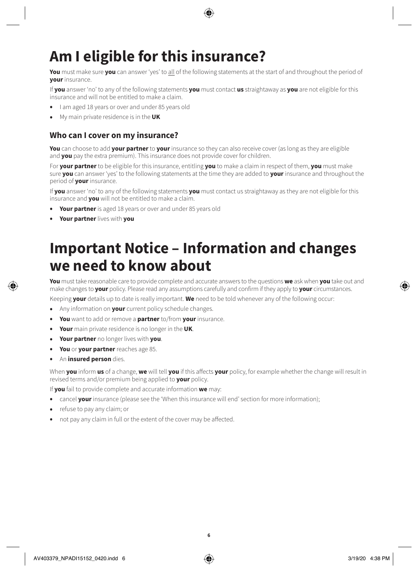# **Am I eligible for this insurance?**

**You** must make sure **you** can answer 'yes' to all of the following statements at the start of and throughout the period of **your** insurance.

If **you** answer 'no' to any of the following statements **you** must contact **us** straightaway as **you** are not eligible for this insurance and will not be entitled to make a claim.

- I am aged 18 years or over and under 85 years old
- My main private residence is in the **UK**

### **Who can I cover on my insurance?**

**You** can choose to add **your partner** to **your** insurance so they can also receive cover (as long as they are eligible and **you** pay the extra premium). This insurance does not provide cover for children.

For **your partner** to be eligible for this insurance, entitling **you** to make a claim in respect of them, **you** must make sure **you** can answer 'yes' to the following statements at the time they are added to **your** insurance and throughout the period of **your** insurance.

If **you** answer 'no' to any of the following statements **you** must contact us straightaway as they are not eligible for this insurance and **you** will not be entitled to make a claim.

- **Your partner** is aged 18 years or over and under 85 years old
- **Your partner** lives with **you**

# **Important Notice – Information and changes we need to know about**

**You** must take reasonable care to provide complete and accurate answers to the questions **we** ask when **you** take out and make changes to **your** policy. Please read any assumptions carefully and confirm if they apply to **your** circumstances.

Keeping **your** details up to date is really important. **We** need to be told whenever any of the following occur:

- Any information on **your** current policy schedule changes.
- **You** want to add or remove a **partner** to/from **your** insurance.
- **Your** main private residence is no longer in the **UK**.
- **Your partner** no longer lives with **you**.
- **You** or **your partner** reaches age 85.
- An **insured person** dies.

When **you** inform **us** of a change, **we** will tell **you** if this affects **your** policy, for example whether the change will result in revised terms and/or premium being applied to **your** policy.

If **you** fail to provide complete and accurate information **we** may:

- cancel **your** insurance (please see the 'When this insurance will end' section for more information);
- refuse to pay any claim; or
- not pay any claim in full or the extent of the cover may be affected.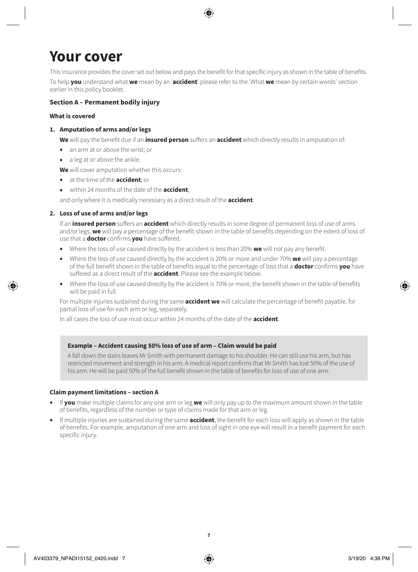### **Your cover**

This insurance provides the cover set out below and pays the benefit for that specific injury as shown in the table of benefits. To help **you** understand what **we** mean by an '**accident**' please refer to the 'What **we** mean by certain words' section earlier in this policy booklet.

### **Section A – Permanent bodily injury**

### **What is covered**

### **1. Amputation of arms and/or legs**

**We** will pay the benefit due if an **insured person** suffers an **accident** which directly results in amputation of:

- an arm at or above the wrist; or
- a leg at or above the ankle.

**We** will cover amputation whether this occurs:

- at the time of the **accident**; or
- within 24 months of the date of the **accident**,

and only where it is medically necessary as a direct result of the **accident**.

### **2. Loss of use of arms and/or legs**

If an **insured person** suffers an **accident** which directly results in some degree of permanent loss of use of arms and/or legs, **we** will pay a percentage of the benefit shown in the table of benefits depending on the extent of loss of use that a **doctor** confirms **you** have suffered.

- Where the loss of use caused directly by the accident is less than 20% **we** will not pay any benefit.
- Where the loss of use caused directly by the accident is 20% or more and under 70% **we** will pay a percentage of the full benefit shown in the table of benefits equal to the percentage of loss that a **doctor** confirms **you** have suffered as a direct result of the **accident**. Please see the example below.
- Where the loss of use caused directly by the accident is 70% or more, the benefit shown in the table of benefits will be paid in full.

For multiple injuries sustained during the same **accident we** will calculate the percentage of benefit payable, for partial loss of use for each arm or leg, separately.

In all cases the loss of use must occur within 24 months of the date of the **accident**.

### **Example – Accident causing 50% loss of use of arm – Claim would be paid**

A fall down the stairs leaves Mr Smith with permanent damage to his shoulder. He can still use his arm, but has restricted movement and strength in his arm. A medical report confirms that Mr Smith has lost 50% of the use of his arm. He will be paid 50% of the full benefit shown in the table of benefits for loss of use of one arm.

### **Claim payment limitations – section A**

- If **you** make multiple claims for any one arm or leg **we** will only pay up to the maximum amount shown in the table of benefits, regardless of the number or type of claims made for that arm or leg.
- If multiple injuries are sustained during the same **accident**, the benefit for each loss will apply as shown in the table of benefits. For example, amputation of one arm and loss of sight in one eye will result in a benefit payment for each specific injury.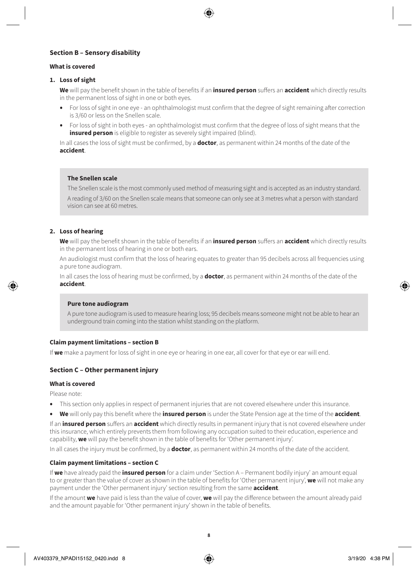### **Section B – Sensory disability**

#### **What is covered**

#### **1. Loss of sight**

**We** will pay the benefit shown in the table of benefits if an **insured person** suffers an **accident** which directly results in the permanent loss of sight in one or both eyes.

- For loss of sight in one eye an ophthalmologist must confirm that the degree of sight remaining after correction is 3/60 or less on the Snellen scale.
- For loss of sight in both eyes an ophthalmologist must confirm that the degree of loss of sight means that the **insured person** is eligible to register as severely sight impaired (blind).

In all cases the loss of sight must be confirmed, by a **doctor**, as permanent within 24 months of the date of the **accident**.

#### **The Snellen scale**

The Snellen scale is the most commonly used method of measuring sight and is accepted as an industry standard. A reading of 3/60 on the Snellen scale means that someone can only see at 3 metres what a person with standard vision can see at 60 metres.

### **2. Loss of hearing**

**We** will pay the benefit shown in the table of benefits if an **insured person** suffers an **accident** which directly results in the permanent loss of hearing in one or both ears.

An audiologist must confirm that the loss of hearing equates to greater than 95 decibels across all frequencies using a pure tone audiogram.

In all cases the loss of hearing must be confirmed, by a **doctor**, as permanent within 24 months of the date of the **accident**.

#### **Pure tone audiogram**

A pure tone audiogram is used to measure hearing loss; 95 decibels means someone might not be able to hear an underground train coming into the station whilst standing on the platform.

### **Claim payment limitations – section B**

If **we** make a payment for loss of sight in one eye or hearing in one ear, all cover for that eye or ear will end.

### **Section C – Other permanent injury**

#### **What is covered**

Please note:

- This section only applies in respect of permanent injuries that are not covered elsewhere under this insurance.
- **We** will only pay this benefit where the **insured person** is under the State Pension age at the time of the **accident**.

If an **insured person** suffers an **accident** which directly results in permanent injury that is not covered elsewhere under this insurance, which entirely prevents them from following any occupation suited to their education, experience and capability, **we** will pay the benefit shown in the table of benefits for 'Other permanent injury'.

In all cases the injury must be confirmed, by a **doctor**, as permanent within 24 months of the date of the accident.

### **Claim payment limitations – section C**

If **we** have already paid the **insured person** for a claim under 'Section A – Permanent bodily injury' an amount equal to or greater than the value of cover as shown in the table of benefits for 'Other permanent injury', **we** will not make any payment under the 'Other permanent injury' section resulting from the same **accident**.

If the amount **we** have paid is less than the value of cover, **we** will pay the difference between the amount already paid and the amount payable for 'Other permanent injury' shown in the table of benefits.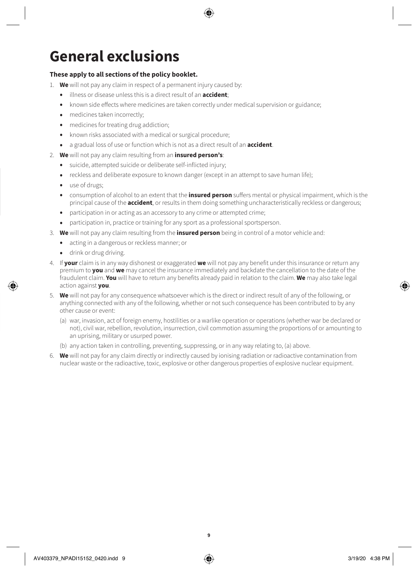# **General exclusions**

### **These apply to all sections of the policy booklet.**

- 1. **We** will not pay any claim in respect of a permanent injury caused by:
	- illness or disease unless this is a direct result of an **accident**;
	- known side effects where medicines are taken correctly under medical supervision or guidance;
	- medicines taken incorrectly;
	- medicines for treating drug addiction;
	- known risks associated with a medical or surgical procedure;
	- a gradual loss of use or function which is not as a direct result of an **accident**.
- 2. **We** will not pay any claim resulting from an **insured person's**:
	- suicide, attempted suicide or deliberate self-inflicted injury;
	- reckless and deliberate exposure to known danger (except in an attempt to save human life);
	- use of drugs;
	- consumption of alcohol to an extent that the **insured person** suffers mental or physical impairment, which is the principal cause of the **accident**, or results in them doing something uncharacteristically reckless or dangerous;
	- participation in or acting as an accessory to any crime or attempted crime;
	- participation in, practice or training for any sport as a professional sportsperson.
- 3. **We** will not pay any claim resulting from the **insured person** being in control of a motor vehicle and:
	- acting in a dangerous or reckless manner; or
	- drink or drug driving.
- 4. If **your** claim is in any way dishonest or exaggerated **we** will not pay any benefit under this insurance or return any premium to **you** and **we** may cancel the insurance immediately and backdate the cancellation to the date of the fraudulent claim. **You** will have to return any benefits already paid in relation to the claim. **We** may also take legal action against **you**.
- 5. **We** will not pay for any consequence whatsoever which is the direct or indirect result of any of the following, or anything connected with any of the following, whether or not such consequence has been contributed to by any other cause or event:
	- (a) war, invasion, act of foreign enemy, hostilities or a warlike operation or operations (whether war be declared or not), civil war, rebellion, revolution, insurrection, civil commotion assuming the proportions of or amounting to an uprising, military or usurped power.
	- (b) any action taken in controlling, preventing, suppressing, or in any way relating to, (a) above.
- 6. **We** will not pay for any claim directly or indirectly caused by ionising radiation or radioactive contamination from nuclear waste or the radioactive, toxic, explosive or other dangerous properties of explosive nuclear equipment.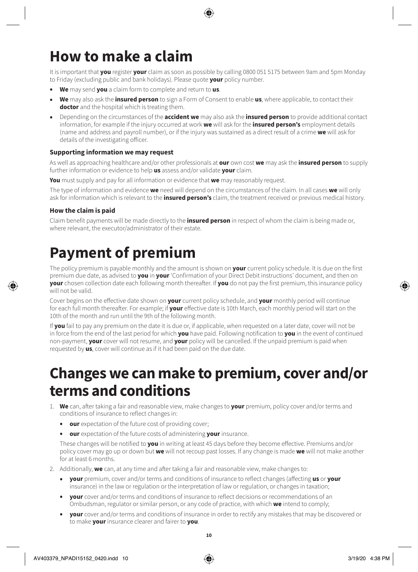# **How to make a claim**

It is important that **you** register **your** claim as soon as possible by calling 0800 051 5175 between 9am and 5pm Monday to Friday (excluding public and bank holidays). Please quote **your** policy number.

- **We** may send **you** a claim form to complete and return to **us**.
- **We** may also ask the **insured person** to sign a Form of Consent to enable **us**, where applicable, to contact their **doctor** and the hospital which is treating them.
- Depending on the circumstances of the **accident we** may also ask the **insured person** to provide additional contact information, for example if the injury occurred at work **we** will ask for the **insured person's** employment details (name and address and payroll number), or if the injury was sustained as a direct result of a crime **we** will ask for details of the investigating officer.

### **Supporting information we may request**

As well as approaching healthcare and/or other professionals at **our** own cost **we** may ask the **insured person** to supply further information or evidence to help **us** assess and/or validate **your** claim.

**You** must supply and pay for all information or evidence that **we** may reasonably request.

The type of information and evidence **we** need will depend on the circumstances of the claim. In all cases **we** will only ask for information which is relevant to the **insured person's** claim, the treatment received or previous medical history.

### **How the claim is paid**

Claim benefit payments will be made directly to the **insured person** in respect of whom the claim is being made or, where relevant, the executor/administrator of their estate.

## **Payment of premium**

The policy premium is payable monthly and the amount is shown on **your** current policy schedule. It is due on the first premium due date, as advised to **you** in **your** 'Confirmation of your Direct Debit instructions' document, and then on **your** chosen collection date each following month thereafter. If **you** do not pay the first premium, this insurance policy will not be valid.

Cover begins on the effective date shown on **your** current policy schedule, and **your** monthly period will continue for each full month thereafter. For example; if **your** effective date is 10th March, each monthly period will start on the 10th of the month and run until the 9th of the following month.

If **you** fail to pay any premium on the date it is due or, if applicable, when requested on a later date, cover will not be in force from the end of the last period for which **you** have paid. Following notification to **you** in the event of continued non-payment, **your** cover will not resume, and **your** policy will be cancelled. If the unpaid premium is paid when requested by **us**, cover will continue as if it had been paid on the due date.

### **Changes we can make to premium, cover and/or terms and conditions**

- 1. **We** can, after taking a fair and reasonable view, make changes to **your** premium, policy cover and/or terms and conditions of insurance to reflect changes in:
	- **our** expectation of the future cost of providing cover;
	- **our** expectation of the future costs of administering **your** insurance.

These changes will be notified to **you** in writing at least 45 days before they become effective. Premiums and/or policy cover may go up or down but **we** will not recoup past losses. If any change is made **we** will not make another for at least 6 months.

- 2. Additionally, **we** can, at any time and after taking a fair and reasonable view, make changes to:
	- **your** premium, cover and/or terms and conditions of insurance to reflect changes (affecting **us** or **your**  insurance) in the law or regulation or the interpretation of law or regulation, or changes in taxation;
	- **your** cover and/or terms and conditions of insurance to reflect decisions or recommendations of an Ombudsman, regulator or similar person, or any code of practice, with which **we** intend to comply;
	- **your** cover and/or terms and conditions of insurance in order to rectify any mistakes that may be discovered or to make **your** insurance clearer and fairer to **you**.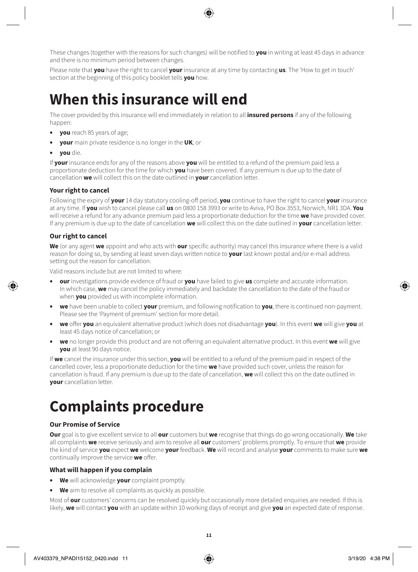These changes (together with the reasons for such changes) will be notified to **you** in writing at least 45 days in advance and there is no minimum period between changes.

Please note that **you** have the right to cancel **your** insurance at any time by contacting **us**. The 'How to get in touch' section at the beginning of this policy booklet tells **you** how.

### **When this insurance will end**

The cover provided by this insurance will end immediately in relation to all **insured persons** if any of the following happen:

- **you** reach 85 years of age;
- **your** main private residence is no longer in the **UK**; or
- **you** die.

If **your** insurance ends for any of the reasons above **you** will be entitled to a refund of the premium paid less a proportionate deduction for the time for which **you** have been covered. If any premium is due up to the date of cancellation **we** will collect this on the date outlined in **your** cancellation letter.

### **Your right to cancel**

Following the expiry of **your** 14 day statutory cooling-off period, **you** continue to have the right to cancel **your** insurance at any time. If **you** wish to cancel please call **us** on 0800 158 3993 or write to Aviva, PO Box 3553, Norwich, NR1 3DA. **You** will receive a refund for any advance premium paid less a proportionate deduction for the time **we** have provided cover. If any premium is due up to the date of cancellation **we** will collect this on the date outlined in **your** cancellation letter.

### **Our right to cancel**

**We** (or any agent **we** appoint and who acts with **our** specific authority) may cancel this insurance where there is a valid reason for doing so, by sending at least seven days written notice to **your** last known postal and/or e-mail address setting out the reason for cancellation.

Valid reasons include but are not limited to where:

- **our** investigations provide evidence of fraud or **you** have failed to give **us** complete and accurate information. In which case, **we** may cancel the policy immediately and backdate the cancellation to the date of the fraud or when **you** provided us with incomplete information.
- **we** have been unable to collect **your** premium, and following notification to **you**, there is continued non-payment. Please see the 'Payment of premium' section for more detail.
- **we** offer **you** an equivalent alternative product (which does not disadvantage **you**). In this event **we** will give **you** at least 45 days notice of cancellation; or
- **we** no longer provide this product and are not offering an equivalent alternative product. In this event **we** will give **you** at least 90 days notice.

If **we** cancel the insurance under this section, **you** will be entitled to a refund of the premium paid in respect of the cancelled cover, less a proportionate deduction for the time **we** have provided such cover, unless the reason for cancellation is fraud. If any premium is due up to the date of cancellation, **we** will collect this on the date outlined in **your** cancellation letter.

# **Complaints procedure**

### **Our Promise of Service**

**Our** goal is to give excellent service to all **our** customers but **we** recognise that things do go wrong occasionally. **We** take all complaints **we** receive seriously and aim to resolve all **our** customers' problems promptly. To ensure that **we** provide the kind of service **you** expect **we** welcome **your** feedback. **We** will record and analyse **your** comments to make sure **we**  continually improve the service **we** offer.

### **What will happen if you complain**

- **We** will acknowledge **your** complaint promptly.
- **We** aim to resolve all complaints as quickly as possible.

Most of **our** customers' concerns can be resolved quickly but occasionally more detailed enquiries are needed. If this is likely, **we** will contact **you** with an update within 10 working days of receipt and give **you** an expected date of response.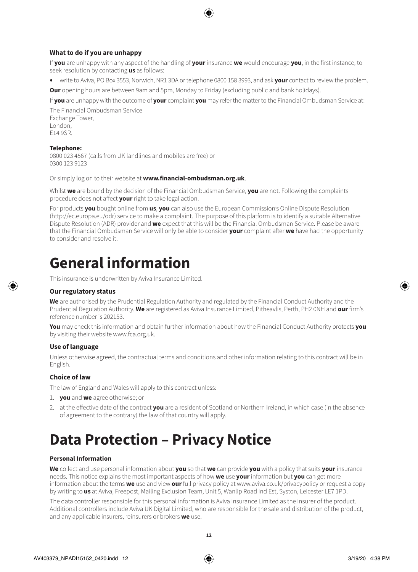### **What to do if you are unhappy**

If **you** are unhappy with any aspect of the handling of **your** insurance **we** would encourage **you**, in the first instance, to seek resolution by contacting **us** as follows:

• write to Aviva, PO Box 3553, Norwich, NR1 3DA or telephone 0800 158 3993, and ask **your** contact to review the problem.

**Our** opening hours are between 9am and 5pm, Monday to Friday (excluding public and bank holidays).

If **you** are unhappy with the outcome of **your** complaint **you** may refer the matter to the Financial Ombudsman Service at:

The Financial Ombudsman Service Exchange Tower, London, E14 9SR.

#### **Telephone:**

0800 023 4567 (calls from UK landlines and mobiles are free) or 0300 123 9123

Or simply log on to their website at **[www.financial-ombudsman.org.uk](http://www.financial-ombudsman.org.uk)**.

Whilst **we** are bound by the decision of the Financial Ombudsman Service, **you** are not. Following the complaints procedure does not affect **your** right to take legal action.

For products **you** bought online from **us**, **you** can also use the European Commission's Online Dispute Resolution (http://ec.europa.eu/odr) service to make a complaint. The purpose of this platform is to identify a suitable Alternative Dispute Resolution (ADR) provider and **we** expect that this will be the Financial Ombudsman Service. Please be aware that the Financial Ombudsman Service will only be able to consider **your** complaint after **we** have had the opportunity to consider and resolve it.

### **General information**

This insurance is underwritten by Aviva Insurance Limited.

### **Our regulatory status**

**We** are authorised by the Prudential Regulation Authority and regulated by the Financial Conduct Authority and the Prudential Regulation Authority. **We** are registered as Aviva Insurance Limited, Pitheavlis, Perth, PH2 0NH and **our** firm's reference number is 202153.

**You** may check this information and obtain further information about how the Financial Conduct Authority protects **you**  by visiting their website www.fca.org.uk.

### **Use of language**

Unless otherwise agreed, the contractual terms and conditions and other information relating to this contract will be in English.

### **Choice of law**

The law of England and Wales will apply to this contract unless:

- 1. **you** and **we** agree otherwise; or
- 2. at the effective date of the contract **you** are a resident of Scotland or Northern Ireland, in which case (in the absence of agreement to the contrary) the law of that country will apply.

# **Data Protection – Privacy Notice**

### **Personal Information**

**We** collect and use personal information about **you** so that **we** can provide **you** with a policy that suits **your** insurance needs. This notice explains the most important aspects of how **we** use **your** information but **you** can get more information about the terms **we** use and view **our** full privacy policy at www.aviva.co.uk/privacypolicy or request a copy by writing to **us** at Aviva, Freepost, Mailing Exclusion Team, Unit 5, Wanlip Road Ind Est, Syston, Leicester LE7 1PD.

The data controller responsible for this personal information is Aviva Insurance Limited as the insurer of the product. Additional controllers include Aviva UK Digital Limited, who are responsible for the sale and distribution of the product, and any applicable insurers, reinsurers or brokers **we** use.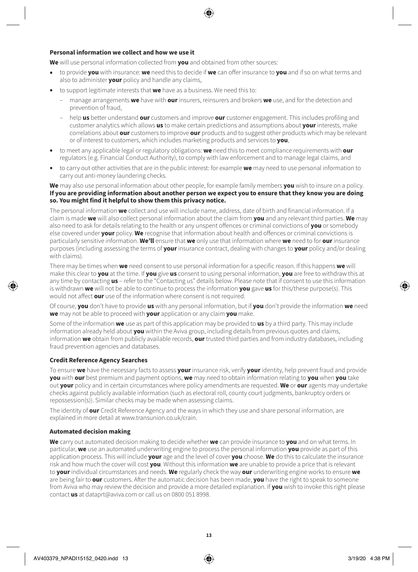#### **Personal information we collect and how we use it**

**We** will use personal information collected from **you** and obtained from other sources:

- to provide **you** with insurance: **we** need this to decide if **we** can offer insurance to **you** and if so on what terms and also to administer **your** policy and handle any claims,
- to support legitimate interests that **we** have as a business. We need this to:
	- manage arrangements **we** have with **our** insurers, reinsurers and brokers **we** use, and for the detection and prevention of fraud,
	- help **us** better understand **our** customers and improve **our** customer engagement. This includes profiling and customer analytics which allows **us** to make certain predictions and assumptions about **your** interests, make correlations about **our** customers to improve **our** products and to suggest other products which may be relevant or of interest to customers, which includes marketing products and services to **you**,
- to meet any applicable legal or regulatory obligations: **we** need this to meet compliance requirements with **our** regulators (e.g. Financial Conduct Authority), to comply with law enforcement and to manage legal claims, and
- to carry out other activities that are in the public interest: for example **we** may need to use personal information to carry out anti-money laundering checks.

**We** may also use personal information about other people, for example family members **you** wish to insure on a policy. **If you are providing information about another person we expect you to ensure that they know you are doing so. You might find it helpful to show them this privacy notice.**

The personal information **we** collect and use will include name, address, date of birth and financial information. If a claim is made **we** will also collect personal information about the claim from **you** and any relevant third parties. **We** may also need to ask for details relating to the health or any unspent offences or criminal convictions of **you** or somebody else covered under **your** policy. **We** recognise that information about health and offences or criminal convictions is particularly sensitive information. **We'll** ensure that **we** only use that information where **we** need to for **our** insurance purposes (including assessing the terms of **your** insurance contract, dealing with changes to **your** policy and/or dealing with claims).

There may be times when **we** need consent to use personal information for a specific reason. If this happens **we** will make this clear to **you** at the time. If **you** give **us** consent to using personal information, **you** are free to withdraw this at any time by contacting **us** – refer to the "Contacting us" details below. Please note that if consent to use this information is withdrawn **we** will not be able to continue to process the information **you** gave **us** for this/these purpose(s). This would not affect **our** use of the information where consent is not required.

Of course, **you** don't have to provide **us** with any personal information, but if **you** don't provide the information **we** need **we** may not be able to proceed with **your** application or any claim **you** make.

Some of the information **we** use as part of this application may be provided to **us** by a third party. This may include information already held about **you** within the Aviva group, including details from previous quotes and claims, information **we** obtain from publicly available records, **our** trusted third parties and from industry databases, including fraud prevention agencies and databases.

### **Credit Reference Agency Searches**

To ensure **we** have the necessary facts to assess **your** insurance risk, verify **your** identity, help prevent fraud and provide **you** with **our** best premium and payment options, **we** may need to obtain information relating to **you** when **you** take out **your** policy and in certain circumstances where policy amendments are requested. **We** or **our** agents may undertake checks against publicly available information (such as electoral roll, county court judgments, bankruptcy orders or repossession(s)). Similar checks may be made when assessing claims.

The identity of **our** Credit Reference Agency and the ways in which they use and share personal information, are explained in more detail at [www.transunion.co.uk/crain.](http://www.transunion.co.uk/crain)

#### **Automated decision making**

**We** carry out automated decision making to decide whether **we** can provide insurance to **you** and on what terms. In particular, **we** use an automated underwriting engine to process the personal information **you** provide as part of this application process. This will include **your** age and the level of cover **you** choose. **We** do this to calculate the insurance risk and how much the cover will cost **you**. Without this information **we** are unable to provide a price that is relevant to **your** individual circumstances and needs. **We** regularly check the way **our** underwriting engine works to ensure **we**  are being fair to **our** customers. After the automatic decision has been made, **you** have the right to speak to someone from Aviva who may review the decision and provide a more detailed explanation. If **you** wish to invoke this right please contact **us** at [dataprt@aviva.com](mailto:dataprt@aviva.com) or call us on 0800 051 8998.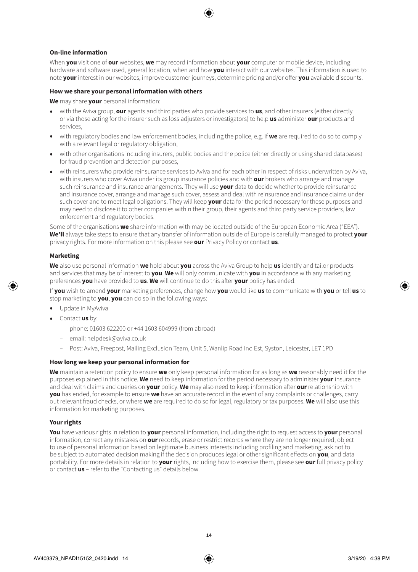### **On-line information**

When **you** visit one of **our** websites, **we** may record information about **your** computer or mobile device, including hardware and software used, general location, when and how **you** interact with our websites. This information is used to note **your** interest in our websites, improve customer journeys, determine pricing and/or offer **you** available discounts.

#### **How we share your personal information with others**

**We** may share **your** personal information:

- with the Aviva group, **our** agents and third parties who provide services to **us**, and other insurers (either directly or via those acting for the insurer such as loss adjusters or investigators) to help **us** administer **our** products and services,
- with regulatory bodies and law enforcement bodies, including the police, e.g. if **we** are required to do so to comply with a relevant legal or regulatory obligation,
- with other organisations including insurers, public bodies and the police (either directly or using shared databases) for fraud prevention and detection purposes,
- with reinsurers who provide reinsurance services to Aviva and for each other in respect of risks underwritten by Aviva, with insurers who cover Aviva under its group insurance policies and with **our** brokers who arrange and manage such reinsurance and insurance arrangements. They will use **your** data to decide whether to provide reinsurance and insurance cover, arrange and manage such cover, assess and deal with reinsurance and insurance claims under such cover and to meet legal obligations. They will keep **your** data for the period necessary for these purposes and may need to disclose it to other companies within their group, their agents and third party service providers, law enforcement and regulatory bodies.

Some of the organisations **we** share information with may be located outside of the European Economic Area ("EEA"). **We'll** always take steps to ensure that any transfer of information outside of Europe is carefully managed to protect **your** privacy rights. For more information on this please see **our** Privacy Policy or contact **us**.

#### **Marketing**

**We** also use personal information **we** hold about **you** across the Aviva Group to help **us** identify and tailor products and services that may be of interest to **you**. **We** will only communicate with **you** in accordance with any marketing preferences **you** have provided to **us**. **We** will continue to do this after **your** policy has ended.

If **you** wish to amend **your** marketing preferences, change how **you** would like **us** to communicate with **you** or tell **us** to stop marketing to **you**, **you** can do so in the following ways:

- Update in MyAviva
- Contact **us** by:
	- phone: 01603 622200 or +44 1603 604999 (from abroad)
	- email: [helpdesk@aviva.co.uk](mailto:helpdesk@aviva.co.uk)
	- Post: Aviva, Freepost, Mailing Exclusion Team, Unit 5, Wanlip Road Ind Est, Syston, Leicester, LE7 1PD

#### **How long we keep your personal information for**

**We** maintain a retention policy to ensure **we** only keep personal information for as long as **we** reasonably need it for the purposes explained in this notice. **We** need to keep information for the period necessary to administer **your** insurance and deal with claims and queries on **your** policy. **We** may also need to keep information after **our** relationship with **you** has ended, for example to ensure **we** have an accurate record in the event of any complaints or challenges, carry out relevant fraud checks, or where **we** are required to do so for legal, regulatory or tax purposes. **We** will also use this information for marketing purposes.

### **Your rights**

**You** have various rights in relation to **your** personal information, including the right to request access to **your** personal information, correct any mistakes on **our** records, erase or restrict records where they are no longer required, object to use of personal information based on legitimate business interests including profiling and marketing, ask not to be subject to automated decision making if the decision produces legal or other significant effects on **you**, and data portability. For more details in relation to **your** rights, including how to exercise them, please see **our** full privacy policy or contact **us** – refer to the "Contacting us" details below.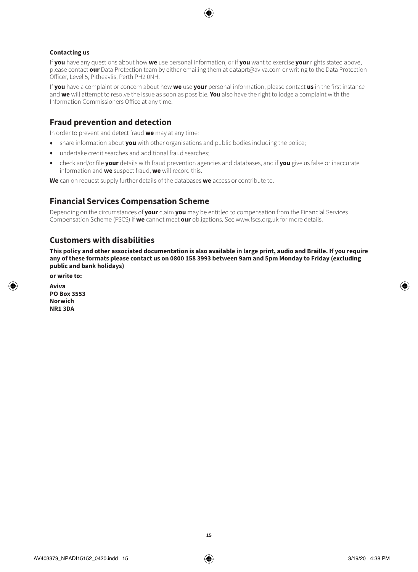### **Contacting us**

If **you** have any questions about how **we** use personal information, or if **you** want to exercise **your** rights stated above, please contact **our** Data Protection team by either emailing them at dataprt@aviva.com or writing to the Data Protection Officer, Level 5, Pitheavlis, Perth PH2 0NH.

If **you** have a complaint or concern about how **we** use **your** personal information, please contact **us** in the first instance and **we** will attempt to resolve the issue as soon as possible. **You** also have the right to lodge a complaint with the Information Commissioners Office at any time.

### **Fraud prevention and detection**

In order to prevent and detect fraud **we** may at any time:

- share information about **you** with other organisations and public bodies including the police;
- undertake credit searches and additional fraud searches;
- check and/or file **your** details with fraud prevention agencies and databases, and if **you** give us false or inaccurate information and **we** suspect fraud, **we** will record this.

**We** can on request supply further details of the databases **we** access or contribute to.

### **Financial Services Compensation Scheme**

Depending on the circumstances of **your** claim **you** may be entitled to compensation from the Financial Services Compensation Scheme (FSCS) if **we** cannot meet **our** obligations. See www.fscs.org.uk for more details.

### **Customers with disabilities**

**This policy and other associated documentation is also available in large print, audio and Braille. If you require any of these formats please contact us on 0800 158 3993 between 9am and 5pm Monday to Friday (excluding public and bank holidays)**

**or write to:**

**Aviva PO Box 3553 Norwich NR1 3DA**